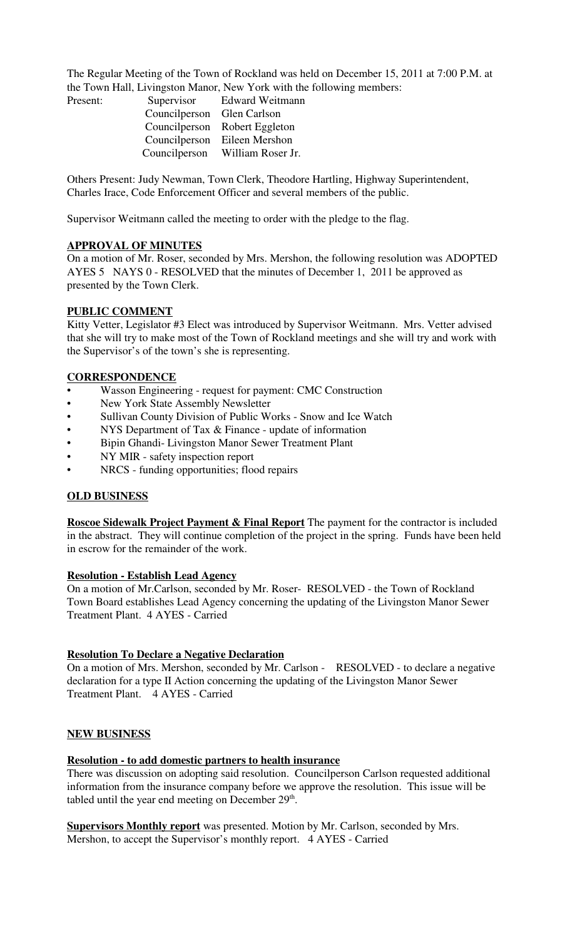The Regular Meeting of the Town of Rockland was held on December 15, 2011 at 7:00 P.M. at the Town Hall, Livingston Manor, New York with the following members:

| Present: |                            | Supervisor Edward Weitmann    |
|----------|----------------------------|-------------------------------|
|          | Councilperson Glen Carlson |                               |
|          |                            | Councilperson Robert Eggleton |
|          | Councilperson              | Eileen Mershon                |
|          | Councilperson              | William Roser Jr.             |

Others Present: Judy Newman, Town Clerk, Theodore Hartling, Highway Superintendent, Charles Irace, Code Enforcement Officer and several members of the public.

Supervisor Weitmann called the meeting to order with the pledge to the flag.

# **APPROVAL OF MINUTES**

On a motion of Mr. Roser, seconded by Mrs. Mershon, the following resolution was ADOPTED AYES 5 NAYS 0 - RESOLVED that the minutes of December 1, 2011 be approved as presented by the Town Clerk.

### **PUBLIC COMMENT**

Kitty Vetter, Legislator #3 Elect was introduced by Supervisor Weitmann. Mrs. Vetter advised that she will try to make most of the Town of Rockland meetings and she will try and work with the Supervisor's of the town's she is representing.

# **CORRESPONDENCE**

- Wasson Engineering request for payment: CMC Construction
- New York State Assembly Newsletter
- Sullivan County Division of Public Works Snow and Ice Watch
- NYS Department of Tax & Finance update of information
- Bipin Ghandi- Livingston Manor Sewer Treatment Plant
- NY MIR safety inspection report
- NRCS funding opportunities; flood repairs

# **OLD BUSINESS**

**Roscoe Sidewalk Project Payment & Final Report** The payment for the contractor is included in the abstract. They will continue completion of the project in the spring. Funds have been held in escrow for the remainder of the work.

#### **Resolution - Establish Lead Agency**

On a motion of Mr.Carlson, seconded by Mr. Roser- RESOLVED - the Town of Rockland Town Board establishes Lead Agency concerning the updating of the Livingston Manor Sewer Treatment Plant. 4 AYES - Carried

#### **Resolution To Declare a Negative Declaration**

On a motion of Mrs. Mershon, seconded by Mr. Carlson - RESOLVED - to declare a negative declaration for a type II Action concerning the updating of the Livingston Manor Sewer Treatment Plant. 4 AYES - Carried

# **NEW BUSINESS**

#### **Resolution - to add domestic partners to health insurance**

There was discussion on adopting said resolution. Councilperson Carlson requested additional information from the insurance company before we approve the resolution. This issue will be tabled until the year end meeting on December  $29<sup>th</sup>$ .

**Supervisors Monthly report** was presented. Motion by Mr. Carlson, seconded by Mrs. Mershon, to accept the Supervisor's monthly report. 4 AYES - Carried